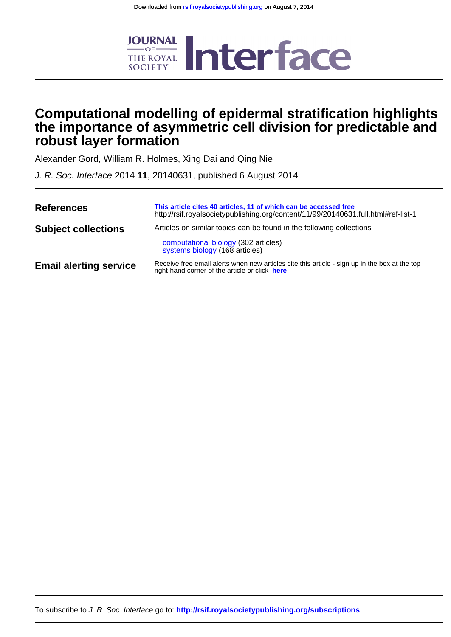

# **robust layer formation the importance of asymmetric cell division for predictable and Computational modelling of epidermal stratification highlights**

Alexander Gord, William R. Holmes, Xing Dai and Qing Nie

J. R. Soc. Interface 2014 **11**, 20140631, published 6 August 2014

| <b>References</b>             | This article cites 40 articles, 11 of which can be accessed free<br>http://rsif.royalsocietypublishing.org/content/11/99/20140631.full.html#ref-list-1 |  |  |  |  |
|-------------------------------|--------------------------------------------------------------------------------------------------------------------------------------------------------|--|--|--|--|
| <b>Subject collections</b>    | Articles on similar topics can be found in the following collections                                                                                   |  |  |  |  |
|                               | computational biology (302 articles)<br>systems biology (168 articles)                                                                                 |  |  |  |  |
| <b>Email alerting service</b> | Receive free email alerts when new articles cite this article - sign up in the box at the top<br>right-hand corner of the article or click here        |  |  |  |  |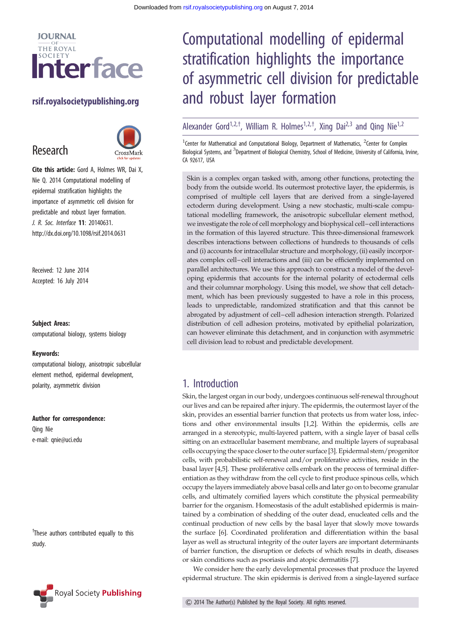

#### rsif.royalsocietypublishing.org

# Research



Cite this article: Gord A, Holmes WR, Dai X, Nie Q. 2014 Computational modelling of epidermal stratification highlights the importance of asymmetric cell division for predictable and robust layer formation. J. R. Soc. Interface 11: 20140631. http://dx.doi.org/10.1098/rsif.2014.0631

Received: 12 June 2014 Accepted: 16 July 2014

#### Subject Areas:

computational biology, systems biology

#### Keywords:

computational biology, anisotropic subcellular element method, epidermal development, polarity, asymmetric division

#### Author for correspondence:

Qing Nie e-mail: [qnie@uci.edu](mailto:qnie@uci.edu)

† These authors contributed equally to this study.



# Computational modelling of epidermal stratification highlights the importance of asymmetric cell division for predictable and robust layer formation

## Alexander Gord<sup>1,2,†</sup>, William R. Holmes<sup>1,2,†</sup>, Xing Dai<sup>2,3</sup> and Qing Nie<sup>1,2</sup>

<sup>1</sup> Center for Mathematical and Computational Biology, Department of Mathematics, <sup>2</sup> Center for Complex Biological Systems, and <sup>3</sup>Department of Biological Chemistry, School of Medicine, University of California, Irvine, CA 92617, USA

Skin is a complex organ tasked with, among other functions, protecting the body from the outside world. Its outermost protective layer, the epidermis, is comprised of multiple cell layers that are derived from a single-layered ectoderm during development. Using a new stochastic, multi-scale computational modelling framework, the anisotropic subcellular element method, we investigate the role of cell morphology and biophysical cell–cell interactions in the formation of this layered structure. This three-dimensional framework describes interactions between collections of hundreds to thousands of cells and (i) accounts for intracellular structure and morphology, (ii) easily incorporates complex cell–cell interactions and (iii) can be efficiently implemented on parallel architectures. We use this approach to construct a model of the developing epidermis that accounts for the internal polarity of ectodermal cells and their columnar morphology. Using this model, we show that cell detachment, which has been previously suggested to have a role in this process, leads to unpredictable, randomized stratification and that this cannot be abrogated by adjustment of cell–cell adhesion interaction strength. Polarized distribution of cell adhesion proteins, motivated by epithelial polarization, can however eliminate this detachment, and in conjunction with asymmetric cell division lead to robust and predictable development.

## 1. Introduction

Skin, the largest organ in our body, undergoes continuous self-renewal throughout our lives and can be repaired after injury. The epidermis, the outermost layer of the skin, provides an essential barrier function that protects us from water loss, infections and other environmental insults [\[1](#page-11-0),[2](#page-11-0)]. Within the epidermis, cells are arranged in a stereotypic, multi-layered pattern, with a single layer of basal cells sitting on an extracellular basement membrane, and multiple layers of suprabasal cells occupying the space closer to the outer surface [\[3](#page-11-0)]. Epidermal stem/progenitor cells, with probabilistic self-renewal and/or proliferative activities, reside in the basal layer [[4,5\]](#page-11-0). These proliferative cells embark on the process of terminal differentiation as they withdraw from the cell cycle to first produce spinous cells, which occupy the layers immediately above basal cells and later go on to become granular cells, and ultimately cornified layers which constitute the physical permeability barrier for the organism. Homeostasis of the adult established epidermis is maintained by a combination of shedding of the outer dead, enucleated cells and the continual production of new cells by the basal layer that slowly move towards the surface [[6\]](#page-11-0). Coordinated proliferation and differentiation within the basal layer as well as structural integrity of the outer layers are important determinants of barrier function, the disruption or defects of which results in death, diseases or skin conditions such as psoriasis and atopic dermatitis [\[7\]](#page-11-0).

We consider here the early developmental processes that produce the layered epidermal structure. The skin epidermis is derived from a single-layered surface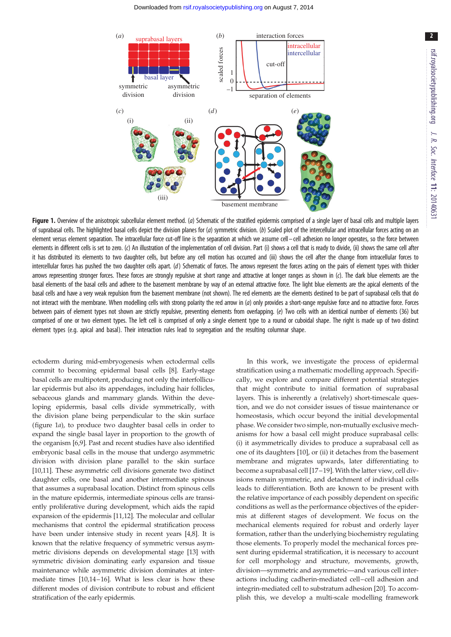<span id="page-2-0"></span>

Figure 1. Overview of the anisotropic subcellular element method. (a) Schematic of the stratified epidermis comprised of a single layer of basal cells and multiple layers of suprabasal cells. The highlighted basal cells depict the division planes for  $(a)$  symmetric division.  $(b)$  Scaled plot of the intercellular and intracellular forces acting on an element versus element separation. The intracellular force cut-off line is the separation at which we assume cell–cell adhesion no longer operates, so the force between elements in different cells is set to zero. (c) An illustration of the implementation of cell division. Part (i) shows a cell that is ready to divide, (ii) shows the same cell after it has distributed its elements to two daughter cells, but before any cell motion has occurred and (iii) shows the cell after the change from intracellular forces to intercellular forces has pushed the two daughter cells apart. (d) Schematic of forces. The arrows represent the forces acting on the pairs of element types with thicker arrows representing stronger forces. These forces are strongly repulsive at short range and attractive at longer ranges as shown in (c). The dark blue elements are the basal elements of the basal cells and adhere to the basement membrane by way of an external attractive force. The light blue elements are the apical elements of the basal cells and have a very weak repulsion from the basement membrane (not shown). The red elements are the elements destined to be part of suprabasal cells that do not interact with the membrane. When modelling cells with strong polarity the red arrow in (a) only provides a short-range repulsive force and no attractive force. Forces between pairs of element types not shown are strictly repulsive, preventing elements from overlapping. (e) Two cells with an identical number of elements (36) but comprised of one or two element types. The left cell is comprised of only a single element type to a round or cuboidal shape. The right is made up of two distinct element types (e.g. apical and basal). Their interaction rules lead to segregation and the resulting columnar shape.

ectoderm during mid-embryogenesis when ectodermal cells commit to becoming epidermal basal cells [\[8](#page-11-0)]. Early-stage basal cells are multipotent, producing not only the interfollicular epidermis but also its appendages, including hair follicles, sebaceous glands and mammary glands. Within the developing epidermis, basal cells divide symmetrically, with the division plane being perpendicular to the skin surface (figure 1a), to produce two daughter basal cells in order to expand the single basal layer in proportion to the growth of the organism [[6,9\]](#page-11-0). Past and recent studies have also identified embryonic basal cells in the mouse that undergo asymmetric division with division plane parallel to the skin surface [\[10,11](#page-11-0)]. These asymmetric cell divisions generate two distinct daughter cells, one basal and another intermediate spinous that assumes a suprabasal location. Distinct from spinous cells in the mature epidermis, intermediate spinous cells are transiently proliferative during development, which aids the rapid expansion of the epidermis [[11](#page-11-0),[12](#page-11-0)]. The molecular and cellular mechanisms that control the epidermal stratification process have been under intensive study in recent years [[4,8\]](#page-11-0). It is known that the relative frequency of symmetric versus asymmetric divisions depends on developmental stage [[13\]](#page-11-0) with symmetric division dominating early expansion and tissue maintenance while asymmetric division dominates at intermediate times [[10,14](#page-11-0)–[16\]](#page-11-0). What is less clear is how these different modes of division contribute to robust and efficient stratification of the early epidermis.

In this work, we investigate the process of epidermal stratification using a mathematic modelling approach. Specifically, we explore and compare different potential strategies that might contribute to initial formation of suprabasal layers. This is inherently a (relatively) short-timescale question, and we do not consider issues of tissue maintenance or homeostasis, which occur beyond the initial developmental phase. We consider two simple, non-mutually exclusive mechanisms for how a basal cell might produce suprabasal cells: (i) it asymmetrically divides to produce a suprabasal cell as one of its daughters [[10\]](#page-11-0), or (ii) it detaches from the basement membrane and migrates upwards, later differentiating to become a suprabasal cell [\[17](#page-11-0) –[19\]](#page-11-0). With the latter view, cell divisions remain symmetric, and detachment of individual cells leads to differentiation. Both are known to be present with the relative importance of each possibly dependent on specific conditions as well as the performance objectives of the epidermis at different stages of development. We focus on the mechanical elements required for robust and orderly layer formation, rather than the underlying biochemistry regulating those elements. To properly model the mechanical forces present during epidermal stratification, it is necessary to account for cell morphology and structure, movements, growth, division—symmetric and asymmetric—and various cell interactions including cadherin-mediated cell–cell adhesion and integrin-mediated cell to substratum adhesion [[20\]](#page-11-0). To accomplish this, we develop a multi-scale modelling framework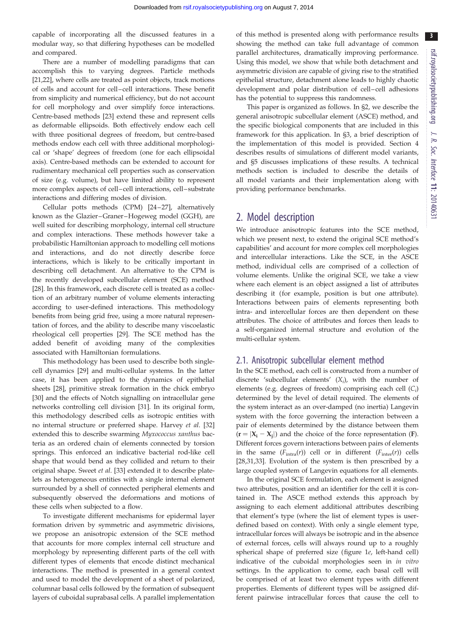capable of incorporating all the discussed features in a modular way, so that differing hypotheses can be modelled and compared.

There are a number of modelling paradigms that can accomplish this to varying degrees. Particle methods [\[21](#page-11-0),[22\]](#page-11-0), where cells are treated as point objects, track motions of cells and account for cell –cell interactions. These benefit from simplicity and numerical efficiency, but do not account for cell morphology and over simplify force interactions. Centre-based methods [[23\]](#page-11-0) extend these and represent cells as deformable ellipsoids. Both effectively endow each cell with three positional degrees of freedom, but centre-based methods endow each cell with three additional morphological or 'shape' degrees of freedom (one for each ellipsoidal axis). Centre-based methods can be extended to account for rudimentary mechanical cell properties such as conservation of size (e.g. volume), but have limited ability to represent more complex aspects of cell –cell interactions, cell –substrate interactions and differing modes of division.

Cellular potts methods (CPM) [\[24](#page-11-0) –[27](#page-11-0)], alternatively known as the Glazier –Graner –Hogeweg model (GGH), are well suited for describing morphology, internal cell structure and complex interactions. These methods however take a probabilistic Hamiltonian approach to modelling cell motions and interactions, and do not directly describe force interactions, which is likely to be critically important in describing cell detachment. An alternative to the CPM is the recently developed subcellular element (SCE) method [\[28](#page-11-0)]. In this framework, each discrete cell is treated as a collection of an arbitrary number of volume elements interacting according to user-defined interactions. This methodology benefits from being grid free, using a more natural representation of forces, and the ability to describe many viscoelastic rheological cell properties [\[29](#page-11-0)]. The SCE method has the added benefit of avoiding many of the complexities associated with Hamiltonian formulations.

This methodology has been used to describe both singlecell dynamics [\[29](#page-11-0)] and multi-cellular systems. In the latter case, it has been applied to the dynamics of epithelial sheets [\[28](#page-11-0)], primitive streak formation in the chick embryo [\[30](#page-11-0)] and the effects of Notch signalling on intracellular gene networks controlling cell division [\[31](#page-11-0)]. In its original form, this methodology described cells as isotropic entities with no internal structure or preferred shape. Harvey et al. [[32\]](#page-11-0) extended this to describe swarming Myxococcus xanthus bacteria as an ordered chain of elements connected by torsion springs. This enforced an indicative bacterial rod-like cell shape that would bend as they collided and return to their original shape. Sweet et al. [[33\]](#page-11-0) extended it to describe platelets as heterogeneous entities with a single internal element surrounded by a shell of connected peripheral elements and subsequently observed the deformations and motions of these cells when subjected to a flow.

To investigate different mechanisms for epidermal layer formation driven by symmetric and asymmetric divisions, we propose an anisotropic extension of the SCE method that accounts for more complex internal cell structure and morphology by representing different parts of the cell with different types of elements that encode distinct mechanical interactions. The method is presented in a general context and used to model the development of a sheet of polarized, columnar basal cells followed by the formation of subsequent layers of cuboidal suprabasal cells. A parallel implementation

of this method is presented along with performance results showing the method can take full advantage of common parallel architectures, dramatically improving performance. Using this model, we show that while both detachment and asymmetric division are capable of giving rise to the stratified epithelial structure, detachment alone leads to highly chaotic development and polar distribution of cell-cell adhesions has the potential to suppress this randomness.

This paper is organized as follows. In §2, we describe the general anisotropic subcellular element (ASCE) method, and the specific biological components that are included in this framework for this application. In §3, a brief description of the implementation of this model is provided. Section 4 describes results of simulations of different model variants, and §5 discusses implications of these results. A technical methods section is included to describe the details of all model variants and their implementation along with providing performance benchmarks.

# 2. Model description

We introduce anisotropic features into the SCE method, which we present next, to extend the original SCE method's capabilities' and account for more complex cell morphologies and intercellular interactions. Like the SCE, in the ASCE method, individual cells are comprised of a collection of volume elements. Unlike the original SCE, we take a view where each element is an object assigned a list of attributes describing it (for example, position is but one attribute). Interactions between pairs of elements representing both intra- and intercellular forces are then dependent on these attributes. The choice of attributes and forces then leads to a self-organized internal structure and evolution of the multi-cellular system.

## 2.1. Anisotropic subcellular element method

In the SCE method, each cell is constructed from a number of discrete 'subcellular elements'  $(X_i)$ , with the number of elements (e.g. degrees of freedom) comprising each cell  $(C_i)$ determined by the level of detail required. The elements of the system interact as an over-damped (no inertia) Langevin system with the force governing the interaction between a pair of elements determined by the distance between them  $(\mathbf{r} = |\mathbf{X_i} - \mathbf{X_i}|)$  and the choice of the force representation (F). Different forces govern interactions between pairs of elements in the same  $(F_{intra}(r))$  cell or in different  $(F_{inter}(r))$  cells [[28,31,33](#page-11-0)]. Evolution of the system is then prescribed by a large coupled system of Langevin equations for all elements.

In the original SCE formulation, each element is assigned two attributes, position and an identifier for the cell it is contained in. The ASCE method extends this approach by assigning to each element additional attributes describing that element's type (where the list of element types is userdefined based on context). With only a single element type, intracellular forces will always be isotropic and in the absence of external forces, cells will always round up to a roughly spherical shape of preferred size ([figure 1](#page-2-0)e, left-hand cell) indicative of the cuboidal morphologies seen in in vitro settings. In the application to come, each basal cell will be comprised of at least two element types with different properties. Elements of different types will be assigned different pairwise intracellular forces that cause the cell to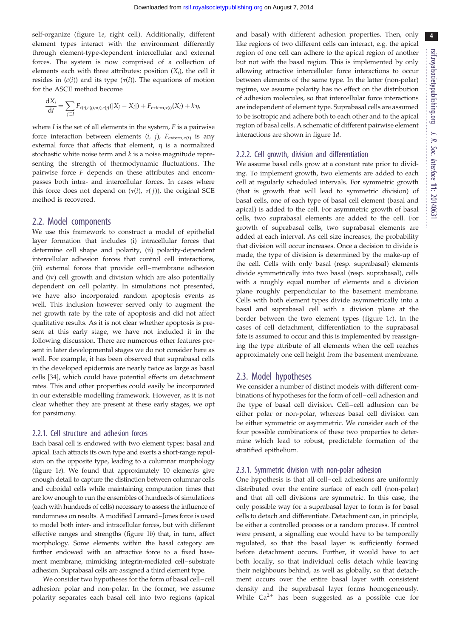self-organize ([figure 1](#page-2-0)e, right cell). Additionally, different element types interact with the environment differently through element-type-dependent intercellular and external forces. The system is now comprised of a collection of elements each with three attributes: position  $(X_i)$ , the cell it resides in  $(c(i))$  and its type  $(\tau(i))$ . The equations of motion for the ASCE method become

$$
\frac{dX_i}{dt} = \sum_{j\in I} F_{c(i),c(j),\tau(i),\tau(j)}(|X_j - X_i|) + F_{\text{extern},\tau(i)}(X_i) + k\eta,
$$

where  $I$  is the set of all elements in the system,  $F$  is a pairwise force interaction between elements  $(i, j)$ ,  $F_{\text{extern}, \tau(i)}$  is any external force that affects that element,  $\eta$  is a normalized stochastic white noise term and  $k$  is a noise magnitude representing the strength of thermodynamic fluctuations. The pairwise force F depends on these attributes and encompasses both intra- and intercellular forces. In cases where this force does not depend on  $(\tau(i), \tau(j))$ , the original SCE method is recovered.

#### 2.2. Model components

We use this framework to construct a model of epithelial layer formation that includes (i) intracellular forces that determine cell shape and polarity, (ii) polarity-dependent intercellular adhesion forces that control cell interactions, (iii) external forces that provide cell–membrane adhesion and (iv) cell growth and division which are also potentially dependent on cell polarity. In simulations not presented, we have also incorporated random apoptosis events as well. This inclusion however served only to augment the net growth rate by the rate of apoptosis and did not affect qualitative results. As it is not clear whether apoptosis is present at this early stage, we have not included it in the following discussion. There are numerous other features present in later developmental stages we do not consider here as well. For example, it has been observed that suprabasal cells in the developed epidermis are nearly twice as large as basal cells [[34\]](#page-11-0), which could have potential effects on detachment rates. This and other properties could easily be incorporated in our extensible modelling framework. However, as it is not clear whether they are present at these early stages, we opt for parsimony.

#### 2.2.1. Cell structure and adhesion forces

Each basal cell is endowed with two element types: basal and apical. Each attracts its own type and exerts a short-range repulsion on the opposite type, leading to a columnar morphology [\(figure 1](#page-2-0)e). We found that approximately 10 elements give enough detail to capture the distinction between columnar cells and cuboidal cells while maintaining computation times that are low enough to run the ensembles of hundreds of simulations (each with hundreds of cells) necessary to assess the influence of randomness on results. A modified Lennard–Jones force is used to model both inter- and intracellular forces, but with different effective ranges and strengths ([figure 1](#page-2-0)b) that, in turn, affect morphology. Some elements within the basal category are further endowed with an attractive force to a fixed basement membrane, mimicking integrin-mediated cell–substrate adhesion. Suprabasal cells are assigned a third element type.

We consider two hypotheses for the form of basal cell-cell adhesion: polar and non-polar. In the former, we assume polarity separates each basal cell into two regions (apical

and basal) with different adhesion properties. Then, only like regions of two different cells can interact, e.g. the apical region of one cell can adhere to the apical region of another but not with the basal region. This is implemented by only allowing attractive intercellular force interactions to occur between elements of the same type. In the latter (non-polar) regime, we assume polarity has no effect on the distribution of adhesion molecules, so that intercellular force interactions are independent of element type. Suprabasal cells are assumed to be isotropic and adhere both to each other and to the apical region of basal cells. A schematic of different pairwise element interactions are shown in [figure 1](#page-2-0)d.

#### 2.2.2. Cell growth, division and differentiation

We assume basal cells grow at a constant rate prior to dividing. To implement growth, two elements are added to each cell at regularly scheduled intervals. For symmetric growth (that is growth that will lead to symmetric division) of basal cells, one of each type of basal cell element (basal and apical) is added to the cell. For asymmetric growth of basal cells, two suprabasal elements are added to the cell. For growth of suprabasal cells, two suprabasal elements are added at each interval. As cell size increases, the probability that division will occur increases. Once a decision to divide is made, the type of division is determined by the make-up of the cell. Cells with only basal (resp. suprabasal) elements divide symmetrically into two basal (resp. suprabasal), cells with a roughly equal number of elements and a division plane roughly perpendicular to the basement membrane. Cells with both element types divide asymmetrically into a basal and suprabasal cell with a division plane at the border between the two element types [\(figure 1](#page-2-0)c). In the cases of cell detachment, differentiation to the suprabasal fate is assumed to occur and this is implemented by reassigning the type attribute of all elements when the cell reaches approximately one cell height from the basement membrane.

## 2.3. Model hypotheses

We consider a number of distinct models with different combinations of hypotheses for the form of cell-cell adhesion and the type of basal cell division. Cell-cell adhesion can be either polar or non-polar, whereas basal cell division can be either symmetric or asymmetric. We consider each of the four possible combinations of these two properties to determine which lead to robust, predictable formation of the stratified epithelium.

#### 2.3.1. Symmetric division with non-polar adhesion

One hypothesis is that all cell –cell adhesions are uniformly distributed over the entire surface of each cell (non-polar) and that all cell divisions are symmetric. In this case, the only possible way for a suprabasal layer to form is for basal cells to detach and differentiate. Detachment can, in principle, be either a controlled process or a random process. If control were present, a signalling cue would have to be temporally regulated, so that the basal layer is sufficiently formed before detachment occurs. Further, it would have to act both locally, so that individual cells detach while leaving their neighbours behind, as well as globally, so that detachment occurs over the entire basal layer with consistent density and the suprabasal layer forms homogeneously. While  $Ca^{2+}$  has been suggested as a possible cue for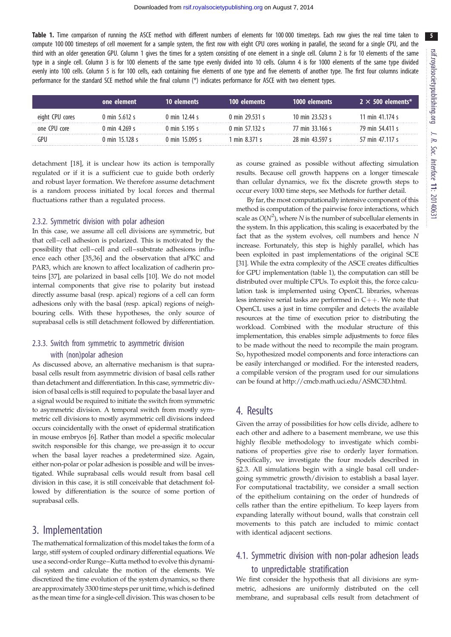<span id="page-5-0"></span>Table 1. Time comparison of running the ASCE method with different numbers of elements for 100 000 timesteps. Each row gives the real time taken to compute 100 000 timesteps of cell movement for a sample system, the first row with eight CPU cores working in parallel, the second for a single CPU, and the third with an older generation GPU. Column 1 gives the times for a system consisting of one element in a single cell. Column 2 is for 10 elements of the same type in a single cell. Column 3 is for 100 elements of the same type evenly divided into 10 cells. Column 4 is for 1000 elements of the same type divided evenly into 100 cells. Column 5 is for 100 cells, each containing five elements of one type and five elements of another type. The first four columns indicate performance for the standard SCE method while the final column (\*) indicates performance for ASCE with two element types.

|                 | one element      | 10 elements      | 100 elements       | 1000 elements     | $12 \times 500$ elements* $^*$ |
|-----------------|------------------|------------------|--------------------|-------------------|--------------------------------|
| eight CPU cores | 0 min 5.612 s    | 0 min $12.44 s$  | 0 min 29.531 s     | 10 min $23,523,5$ | 11 min 41.174 s                |
| one CPU core    | 0 min 4.269 s    | 0 min 5.195 s    | 0 min 57 132 s     | 77 min 33.166 s   | 79 min 54.411 s                |
| GPU             | 0 min $15.128 s$ | 0 min $15,095,5$ | $\mid$ min 8 371 s | 28 min 43.597 s   | 57 min 47.117 s                |

detachment [\[18](#page-11-0)], it is unclear how its action is temporally regulated or if it is a sufficient cue to guide both orderly and robust layer formation. We therefore assume detachment is a random process initiated by local forces and thermal fluctuations rather than a regulated process.

#### 2.3.2. Symmetric division with polar adhesion

In this case, we assume all cell divisions are symmetric, but that cell–cell adhesion is polarized. This is motivated by the possibility that cell–cell and cell–substrate adhesions influence each other [\[35,36](#page-11-0)] and the observation that aPKC and PAR3, which are known to affect localization of cadherin proteins [[37\]](#page-11-0), are polarized in basal cells [\[10\]](#page-11-0). We do not model internal components that give rise to polarity but instead directly assume basal (resp. apical) regions of a cell can form adhesions only with the basal (resp. apical) regions of neighbouring cells. With these hypotheses, the only source of suprabasal cells is still detachment followed by differentiation.

#### 2.3.3. Switch from symmetric to asymmetric division with (non)polar adhesion

As discussed above, an alternative mechanism is that suprabasal cells result from asymmetric division of basal cells rather than detachment and differentiation. In this case, symmetric division of basal cells is still required to populate the basal layer and a signal would be required to initiate the switch from symmetric to asymmetric division. A temporal switch from mostly symmetric cell divisions to mostly asymmetric cell divisions indeed occurs coincidentally with the onset of epidermal stratification in mouse embryos [[6](#page-11-0)]. Rather than model a specific molecular switch responsible for this change, we pre-assign it to occur when the basal layer reaches a predetermined size. Again, either non-polar or polar adhesion is possible and will be investigated. While suprabasal cells would result from basal cell division in this case, it is still conceivable that detachment followed by differentiation is the source of some portion of suprabasal cells.

### 3. Implementation

The mathematical formalization of this model takes the form of a large, stiff system of coupled ordinary differential equations. We use a second-order Runge–Kutta method to evolve this dynamical system and calculate the motion of the elements. We discretized the time evolution of the system dynamics, so there are approximately 3300 time steps per unit time, which is defined as the mean time for a single-cell division. This was chosen to be as course grained as possible without affecting simulation results. Because cell growth happens on a longer timescale than cellular dynamics, we fix the discrete growth steps to occur every 1000 time steps, see Methods for further detail.

By far, the most computationally intensive component of this method is computation of the pairwise force interactions, which scale as  $O(N^2)$ , where N is the number of subcellular elements in the system. In this application, this scaling is exacerbated by the fact that as the system evolves, cell numbers and hence N increase. Fortunately, this step is highly parallel, which has been exploited in past implementations of the original SCE [[31](#page-11-0)]. While the extra complexity of the ASCE creates difficulties for GPU implementation (table 1), the computation can still be distributed over multiple CPUs. To exploit this, the force calculation task is implemented using OpenCL libraries, whereas less intensive serial tasks are performed in  $C++$ . We note that OpenCL uses a just in time compiler and detects the available resources at the time of execution prior to distributing the workload. Combined with the modular structure of this implementation, this enables simple adjustments to force files to be made without the need to recompile the main program. So, hypothesized model components and force interactions can be easily interchanged or modified. For the interested readers, a compilable version of the program used for our simulations can be found at [http://cmcb.math.uci.edu/ASMC3D.html.](http://cmcb.math.uci.edu/ASMC3D.html)

### 4. Results

Given the array of possibilities for how cells divide, adhere to each other and adhere to a basement membrane, we use this highly flexible methodology to investigate which combinations of properties give rise to orderly layer formation. Specifically, we investigate the four models described in §2.3. All simulations begin with a single basal cell undergoing symmetric growth/division to establish a basal layer. For computational tractability, we consider a small section of the epithelium containing on the order of hundreds of cells rather than the entire epithelium. To keep layers from expanding laterally without bound, walls that constrain cell movements to this patch are included to mimic contact with identical adjacent sections.

## 4.1. Symmetric division with non-polar adhesion leads to unpredictable stratification

We first consider the hypothesis that all divisions are symmetric, adhesions are uniformly distributed on the cell membrane, and suprabasal cells result from detachment of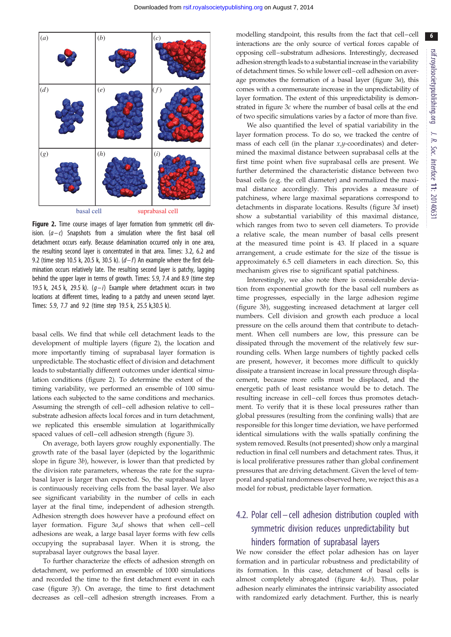

Figure 2. Time course images of layer formation from symmetric cell division.  $(a-c)$  Snapshots from a simulation where the first basal cell detachment occurs early. Because delamination occurred only in one area, the resulting second layer is concentrated in that area. Times: 3.2, 6.2 and 9.2 (time step 10.5 k, 20.5 k, 30.5 k).  $(d-f)$  An example where the first delamination occurs relatively late. The resulting second layer is patchy, lagging behind the upper layer in terms of growth. Times: 5.9, 7.4 and 8.9 (time step 19.5 k, 24.5 k, 29.5 k).  $(q-i)$  Example where detachment occurs in two locations at different times, leading to a patchy and uneven second layer. Times: 5.9, 7.7 and 9.2 (time step 19.5 k, 25.5 k,30.5 k).

basal cells. We find that while cell detachment leads to the development of multiple layers (figure 2), the location and more importantly timing of suprabasal layer formation is unpredictable. The stochastic effect of division and detachment leads to substantially different outcomes under identical simulation conditions (figure 2). To determine the extent of the timing variability, we performed an ensemble of 100 simulations each subjected to the same conditions and mechanics. Assuming the strength of cell–cell adhesion relative to cell– substrate adhesion affects local forces and in turn detachment, we replicated this ensemble simulation at logarithmically spaced values of cell–cell adhesion strength [\(figure 3](#page-7-0)).

On average, both layers grow roughly exponentially. The growth rate of the basal layer (depicted by the logarithmic slope in [figure 3](#page-7-0)b), however, is lower than that predicted by the division rate parameters, whereas the rate for the suprabasal layer is larger than expected. So, the suprabasal layer is continuously receiving cells from the basal layer. We also see significant variability in the number of cells in each layer at the final time, independent of adhesion strength. Adhesion strength does however have a profound effect on layer formation. Figure  $3a,d$  shows that when cell-cell adhesions are weak, a large basal layer forms with few cells occupying the suprabasal layer. When it is strong, the suprabasal layer outgrows the basal layer.

To further characterize the effects of adhesion strength on detachment, we performed an ensemble of 1000 simulations and recorded the time to the first detachment event in each case [\(figure 3](#page-7-0)f). On average, the time to first detachment decreases as cell–cell adhesion strength increases. From a

modelling standpoint, this results from the fact that cell–cell interactions are the only source of vertical forces capable of opposing cell–substratum adhesions. Interestingly, decreased adhesion strength leads to a substantial increase in the variability of detachment times. So while lower cell–cell adhesion on average promotes the formation of a basal layer ([figure 3](#page-7-0)a), this comes with a commensurate increase in the unpredictability of layer formation. The extent of this unpredictability is demonstrated in [figure 3](#page-7-0)c where the number of basal cells at the end of two specific simulations varies by a factor of more than five.

We also quantified the level of spatial variability in the layer formation process. To do so, we tracked the centre of mass of each cell (in the planar  $x,y$ -coordinates) and determined the maximal distance between suprabasal cells at the first time point when five suprabasal cells are present. We further determined the characteristic distance between two basal cells (e.g. the cell diameter) and normalized the maximal distance accordingly. This provides a measure of patchiness, where large maximal separations correspond to detachments in disparate locations. Results [\(figure 3](#page-7-0)d inset) show a substantial variability of this maximal distance, which ranges from two to seven cell diameters. To provide a relative scale, the mean number of basal cells present at the measured time point is 43. If placed in a square arrangement, a crude estimate for the size of the tissue is approximately 6.5 cell diameters in each direction. So, this mechanism gives rise to significant spatial patchiness.

Interestingly, we also note there is considerable deviation from exponential growth for the basal cell numbers as time progresses, especially in the large adhesion regime ([figure 3](#page-7-0)b), suggesting increased detachment at larger cell numbers. Cell division and growth each produce a local pressure on the cells around them that contribute to detachment. When cell numbers are low, this pressure can be dissipated through the movement of the relatively few surrounding cells. When large numbers of tightly packed cells are present, however, it becomes more difficult to quickly dissipate a transient increase in local pressure through displacement, because more cells must be displaced, and the energetic path of least resistance would be to detach. The resulting increase in cell –cell forces thus promotes detachment. To verify that it is these local pressures rather than global pressures (resulting from the confining walls) that are responsible for this longer time deviation, we have performed identical simulations with the walls spatially confining the system removed. Results (not presented) show only a marginal reduction in final cell numbers and detachment rates. Thus, it is local proliferative pressures rather than global confinement pressures that are driving detachment. Given the level of temporal and spatial randomness observed here, we reject this as a model for robust, predictable layer formation.

# 4.2. Polar cell – cell adhesion distribution coupled with symmetric division reduces unpredictability but hinders formation of suprabasal layers

We now consider the effect polar adhesion has on layer formation and in particular robustness and predictability of its formation. In this case, detachment of basal cells is almost completely abrogated (figure  $4a,b$ ). Thus, polar adhesion nearly eliminates the intrinsic variability associated with randomized early detachment. Further, this is nearly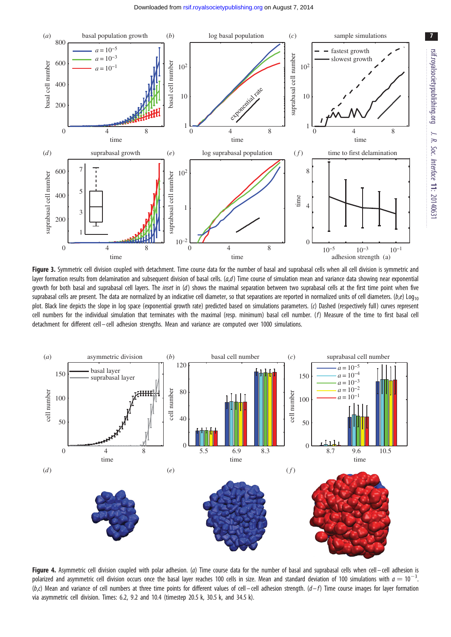<span id="page-7-0"></span>

Figure 3. Symmetric cell division coupled with detachment. Time course data for the number of basal and suprabasal cells when all cell division is symmetric and layer formation results from delamination and subsequent division of basal cells.  $(a,d)$  Time course of simulation mean and variance data showing near exponential growth for both basal and suprabasal cell layers. The *inset* in  $(d)$  shows the maximal separation between two suprabasal cells at the first time point when five suprabasal cells are present. The data are normalized by an indicative cell diameter, so that separations are reported in normalized units of cell diameters. (b,e) Log<sub>10</sub> plot. Black line depicts the slope in log space (exponential growth rate) predicted based on simulations parameters. (c) Dashed (respectively full) curves represent cell numbers for the individual simulation that terminates with the maximal (resp. minimum) basal cell number. (f) Measure of the time to first basal cell detachment for different cell–cell adhesion strengths. Mean and variance are computed over 1000 simulations.



Figure 4. Asymmetric cell division coupled with polar adhesion. (a) Time course data for the number of basal and suprabasal cells when cell-cell adhesion is polarized and asymmetric cell division occurs once the basal layer reaches 100 cells in size. Mean and standard deviation of 100 simulations with  $a = 10^{-3}$ . .  $(b,c)$  Mean and variance of cell numbers at three time points for different values of cell – cell adhesion strength.  $(d-f)$  Time course images for layer formation via asymmetric cell division. Times: 6.2, 9.2 and 10.4 (timestep 20.5 k, 30.5 k, and 34.5 k).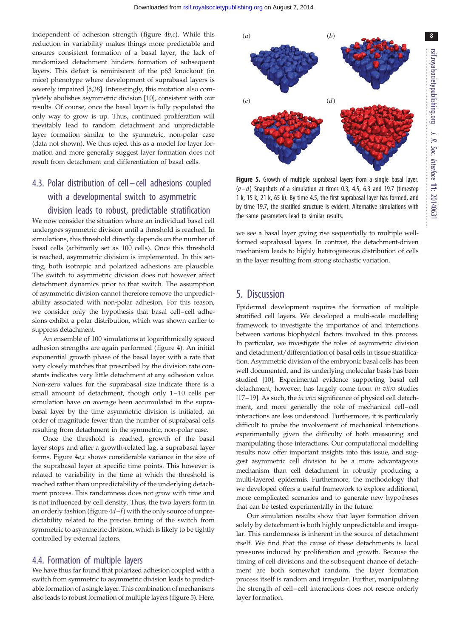independent of adhesion strength ([figure 4](#page-7-0)b,c). While this reduction in variability makes things more predictable and ensures consistent formation of a basal layer, the lack of randomized detachment hinders formation of subsequent layers. This defect is reminiscent of the p63 knockout (in mice) phenotype where development of suprabasal layers is severely impaired [[5,38](#page-11-0)]. Interestingly, this mutation also completely abolishes asymmetric division [[10\]](#page-11-0), consistent with our results. Of course, once the basal layer is fully populated the only way to grow is up. Thus, continued proliferation will inevitably lead to random detachment and unpredictable layer formation similar to the symmetric, non-polar case (data not shown). We thus reject this as a model for layer formation and more generally suggest layer formation does not result from detachment and differentiation of basal cells.

# 4.3. Polar distribution of cell – cell adhesions coupled with a developmental switch to asymmetric division leads to robust, predictable stratification

We now consider the situation where an individual basal cell undergoes symmetric division until a threshold is reached. In simulations, this threshold directly depends on the number of basal cells (arbitrarily set as 100 cells). Once this threshold is reached, asymmetric division is implemented. In this setting, both isotropic and polarized adhesions are plausible. The switch to asymmetric division does not however affect detachment dynamics prior to that switch. The assumption of asymmetric division cannot therefore remove the unpredictability associated with non-polar adhesion. For this reason, we consider only the hypothesis that basal cell–cell adhesions exhibit a polar distribution, which was shown earlier to suppress detachment.

An ensemble of 100 simulations at logarithmically spaced adhesion strengths are again performed ([figure 4\)](#page-7-0). An initial exponential growth phase of the basal layer with a rate that very closely matches that prescribed by the division rate constants indicates very little detachment at any adhesion value. Non-zero values for the suprabasal size indicate there is a small amount of detachment, though only 1-10 cells per simulation have on average been accumulated in the suprabasal layer by the time asymmetric division is initiated, an order of magnitude fewer than the number of suprabasal cells resulting from detachment in the symmetric, non-polar case.

Once the threshold is reached, growth of the basal layer stops and after a growth-related lag, a suprabasal layer forms. [Figure 4](#page-7-0)a,c shows considerable variance in the size of the suprabasal layer at specific time points. This however is related to variability in the time at which the threshold is reached rather than unpredictability of the underlying detachment process. This randomness does not grow with time and is not influenced by cell density. Thus, the two layers form in an orderly fashion (figure  $4d-f$ ) with the only source of unpredictability related to the precise timing of the switch from symmetric to asymmetric division, which is likely to be tightly controlled by external factors.

#### 4.4. Formation of multiple layers

We have thus far found that polarized adhesion coupled with a switch from symmetric to asymmetric division leads to predictable formation of a single layer. This combination of mechanisms also leads to robust formation of multiple layers (figure 5). Here,



Figure 5. Growth of multiple suprabasal layers from a single basal layer.  $(a-d)$  Snapshots of a simulation at times 0.3, 4.5, 6.3 and 19.7 (timestep 1 k, 15 k, 21 k, 65 k). By time 4.5, the first suprabasal layer has formed, and by time 19.7, the stratified structure is evident. Alternative simulations with the same parameters lead to similar results.

we see a basal layer giving rise sequentially to multiple wellformed suprabasal layers. In contrast, the detachment-driven mechanism leads to highly heterogeneous distribution of cells in the layer resulting from strong stochastic variation.

## 5. Discussion

Epidermal development requires the formation of multiple stratified cell layers. We developed a multi-scale modelling framework to investigate the importance of and interactions between various biophysical factors involved in this process. In particular, we investigate the roles of asymmetric division and detachment/differentiation of basal cells in tissue stratification. Asymmetric division of the embryonic basal cells has been well documented, and its underlying molecular basis has been studied [\[10\]](#page-11-0). Experimental evidence supporting basal cell detachment, however, has largely come from in vitro studies [[17](#page-11-0)–[19](#page-11-0)]. As such, the in vivo significance of physical cell detachment, and more generally the role of mechanical cell–cell interactions are less understood. Furthermore, it is particularly difficult to probe the involvement of mechanical interactions experimentally given the difficulty of both measuring and manipulating those interactions. Our computational modelling results now offer important insights into this issue, and suggest asymmetric cell division to be a more advantageous mechanism than cell detachment in robustly producing a multi-layered epidermis. Furthermore, the methodology that we developed offers a useful framework to explore additional, more complicated scenarios and to generate new hypotheses that can be tested experimentally in the future.

Our simulation results show that layer formation driven solely by detachment is both highly unpredictable and irregular. This randomness is inherent in the source of detachment itself. We find that the cause of these detachments is local pressures induced by proliferation and growth. Because the timing of cell divisions and the subsequent chance of detachment are both somewhat random, the layer formation process itself is random and irregular. Further, manipulating the strength of cell-cell interactions does not rescue orderly layer formation.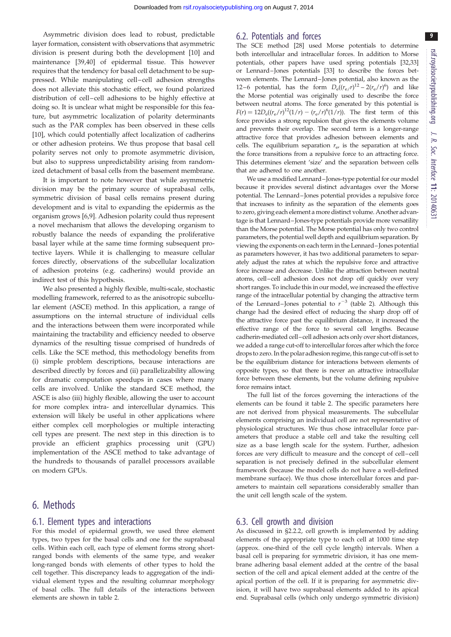Asymmetric division does lead to robust, predictable layer formation, consistent with observations that asymmetric division is present during both the development [\[10](#page-11-0)] and maintenance [\[39](#page-11-0),[40\]](#page-11-0) of epidermal tissue. This however requires that the tendency for basal cell detachment to be suppressed. While manipulating cell-cell adhesion strengths does not alleviate this stochastic effect, we found polarized distribution of cell –cell adhesions to be highly effective at doing so. It is unclear what might be responsible for this feature, but asymmetric localization of polarity determinants such as the PAR complex has been observed in these cells [\[10](#page-11-0)], which could potentially affect localization of cadherins or other adhesion proteins. We thus propose that basal cell polarity serves not only to promote asymmetric division, but also to suppress unpredictability arising from randomized detachment of basal cells from the basement membrane.

It is important to note however that while asymmetric division may be the primary source of suprabasal cells, symmetric division of basal cells remains present during development and is vital to expanding the epidermis as the organism grows [\[6,9](#page-11-0)]. Adhesion polarity could thus represent a novel mechanism that allows the developing organism to robustly balance the needs of expanding the proliferative basal layer while at the same time forming subsequent protective layers. While it is challenging to measure cellular forces directly, observations of the subcellular localization of adhesion proteins (e.g. cadherins) would provide an indirect test of this hypothesis.

We also presented a highly flexible, multi-scale, stochastic modelling framework, referred to as the anisotropic subcellular element (ASCE) method. In this application, a range of assumptions on the internal structure of individual cells and the interactions between them were incorporated while maintaining the tractability and efficiency needed to observe dynamics of the resulting tissue comprised of hundreds of cells. Like the SCE method, this methodology benefits from (i) simple problem descriptions, because interactions are described directly by forces and (ii) parallelizability allowing for dramatic computation speedups in cases where many cells are involved. Unlike the standard SCE method, the ASCE is also (iii) highly flexible, allowing the user to account for more complex intra- and intercellular dynamics. This extension will likely be useful in other applications where either complex cell morphologies or multiple interacting cell types are present. The next step in this direction is to provide an efficient graphics processing unit (GPU) implementation of the ASCE method to take advantage of the hundreds to thousands of parallel processors available on modern GPUs.

## 6. Methods

#### 6.1. Element types and interactions

For this model of epidermal growth, we used three element types, two types for the basal cells and one for the suprabasal cells. Within each cell, each type of element forms strong shortranged bonds with elements of the same type, and weaker long-ranged bonds with elements of other types to hold the cell together. This discrepancy leads to aggregation of the individual element types and the resulting columnar morphology of basal cells. The full details of the interactions between elements are shown in [table 2](#page-10-0).

#### 6.2. Potentials and forces

The SCE method [[28\]](#page-11-0) used Morse potentials to determine both intercellular and intracellular forces. In addition to Morse potentials, other papers have used spring potentials [\[32,33\]](#page-11-0) or Lennard– Jones potentials [[33\]](#page-11-0) to describe the forces between elements. The Lennard– Jones potential, also known as the 12–6 potential, has the form  $D_e((r_e/r)^{12} - 2(r_e/r)^6)$  and like the Morse potential was originally used to describe the force between neutral atoms. The force generated by this potential is  $F(r) = 12D_e((r_e/r)^{12}(1/r) - (r_e/r)^{6}(1/r))$ . The first term of this force provides a strong repulsion that gives the elements volume and prevents their overlap. The second term is a longer-range attractive force that provides adhesion between elements and cells. The equilibrium separation  $r_{e}$ , is the separation at which the force transitions from a repulsive force to an attracting force. This determines element 'size' and the separation between cells that are adhered to one another.

We use a modified Lennard– Jones-type potential for our model because it provides several distinct advantages over the Morse potential. The Lennard– Jones potential provides a repulsive force that increases to infinity as the separation of the elements goes to zero, giving each element a more distinct volume. Another advantage is that Lennard– Jones-type potentials provide more versatility than the Morse potential. The Morse potential has only two control parameters, the potential well depth and equilibrium separation. By viewing the exponents on each term in the Lennard–Jones potential as parameters however, it has two additional parameters to separately adjust the rates at which the repulsive force and attractive force increase and decrease. Unlike the attraction between neutral atoms, cell–cell adhesion does not drop off quickly over very short ranges. To include this in our model, we increased the effective range of the intracellular potential by changing the attractive term of the Lennard–Jones potential to  $r^{-3}$  [\(table 2](#page-10-0)). Although this change had the desired effect of reducing the sharp drop off of the attractive force past the equilibrium distance, it increased the effective range of the force to several cell lengths. Because cadherin-mediated cell–cell adhesion acts only over short distances, we added a range cut-off to intercellular forces after which the force drops to zero. In the polar adhesion regime, this range cut-off is set to be the equilibrium distance for interactions between elements of opposite types, so that there is never an attractive intracellular force between these elements, but the volume defining repulsive force remains intact.

The full list of the forces governing the interactions of the elements can be found it [table 2](#page-10-0). The specific parameters here are not derived from physical measurements. The subcellular elements comprising an individual cell are not representative of physiological structures. We thus chose intracellular force parameters that produce a stable cell and take the resulting cell size as a base length scale for the system. Further, adhesion forces are very difficult to measure and the concept of cell –cell separation is not precisely defined in the subcellular element framework (because the model cells do not have a well-defined membrane surface). We thus chose intercellular forces and parameters to maintain cell separations considerably smaller than the unit cell length scale of the system.

#### 6.3. Cell growth and division

As discussed in §2.2.2, cell growth is implemented by adding elements of the appropriate type to each cell at 1000 time step (approx. one-third of the cell cycle length) intervals. When a basal cell is preparing for symmetric division, it has one membrane adhering basal element added at the centre of the basal section of the cell and apical element added at the centre of the apical portion of the cell. If it is preparing for asymmetric division, it will have two suprabasal elements added to its apical end. Suprabasal cells (which only undergo symmetric division)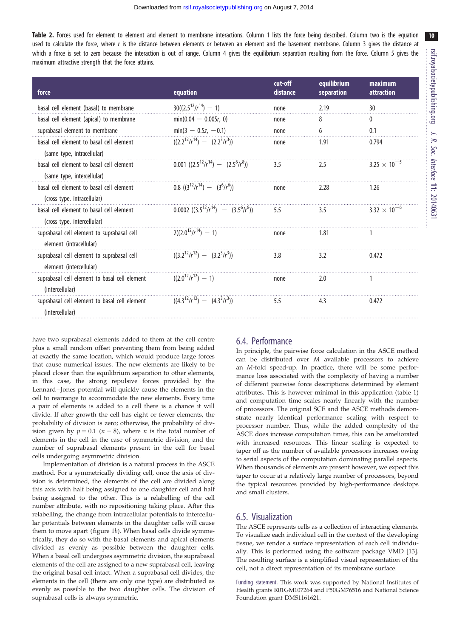<span id="page-10-0"></span>Table 2. Forces used for element to element and element to membrane interactions. Column 1 lists the force being described. Column two is the equation used to calculate the force, where r is the distance between elements or between an element and the basement membrane. Column 3 gives the distance at which a force is set to zero because the interaction is out of range. Column 4 gives the equilibrium separation resulting from the force. Column 5 gives the maximum attractive strength that the force attains.

| force                                                                   | equation                                     | cut-off<br>distance | equilibrium<br>separation | maximum<br>attraction |
|-------------------------------------------------------------------------|----------------------------------------------|---------------------|---------------------------|-----------------------|
| basal cell element (basal) to membrane                                  | $30((2.5^{12}/r^{14}) - 1)$                  | none                | 2.19                      | 30                    |
| basal cell element (apical) to membrane                                 | $min(0.04 - 0.005r, 0)$                      | none                |                           |                       |
| suprabasal element to membrane                                          | $min(3 - 0.5z, -0.1)$                        | none                |                           | 0.1                   |
| basal cell element to basal cell element<br>(same type, intracellular)  | $((2.2^{12}/r^{14}) - (2.2^{3}/r^{3}))$      | none                | 1.91                      | 0.794                 |
| basal cell element to basal cell element<br>(same type, intercellular)  | $0.001$ $((2.5^{12}/r^{14}) - (2.5^6/r^8))$  | 3.5                 | 2.5                       | $3.25 \times 10^{-5}$ |
| basal cell element to basal cell element<br>(cross type, intracellular) | 0.8 $((3^{12}/r^{14}) - (3^6/r^6))$          | none                | 2.28                      | 1.26                  |
| basal cell element to basal cell element<br>(cross type, intercellular) | 0.0002 $((3.5^{12}/r^{14})$ - $(3.5^6/r^8))$ | 5.5                 | 3.5                       | $3.32 \times 10^{-6}$ |
| suprabasal cell element to suprabasal cell<br>element (intracellular)   | $2((2.0^{12}/r^{14}) - 1)$                   | none                | 1.81                      |                       |
| suprabasal cell element to suprabasal cell<br>element (intercellular)   | $((3.2^{12}/r^{12}) - (3.2^{3}/r^{3}))$      | 3.8                 | 3.2                       | 0.472                 |
| suprabasal cell element to basal cell element<br>(intercellular)        | $((2.0^{12}/r^{12}) - 1)$                    | none                | 2.0                       |                       |
| suprabasal cell element to basal cell element<br>(intercellular)        | $((4.3^{12}/r^{12}) - (4.3^3/r^3))$          | 5.5                 | 4.3                       | 0.472                 |

have two suprabasal elements added to them at the cell centre plus a small random offset preventing them from being added at exactly the same location, which would produce large forces that cause numerical issues. The new elements are likely to be placed closer than the equilibrium separation to other elements, in this case, the strong repulsive forces provided by the Lennard – Jones potential will quickly cause the elements in the cell to rearrange to accommodate the new elements. Every time a pair of elements is added to a cell there is a chance it will divide. If after growth the cell has eight or fewer elements, the probability of division is zero; otherwise, the probability of division given by  $p = 0.1$  ( $n - 8$ ), where *n* is the total number of elements in the cell in the case of symmetric division, and the number of suprabasal elements present in the cell for basal cells undergoing asymmetric division.

Implementation of division is a natural process in the ASCE method. For a symmetrically dividing cell, once the axis of division is determined, the elements of the cell are divided along this axis with half being assigned to one daughter cell and half being assigned to the other. This is a relabelling of the cell number attribute, with no repositioning taking place. After this relabelling, the change from intracellular potentials to intercellular potentials between elements in the daughter cells will cause them to move apart [\(figure 1](#page-2-0)b). When basal cells divide symmetrically, they do so with the basal elements and apical elements divided as evenly as possible between the daughter cells. When a basal cell undergoes asymmetric division, the suprabasal elements of the cell are assigned to a new suprabasal cell, leaving the original basal cell intact. When a suprabasal cell divides, the elements in the cell (there are only one type) are distributed as evenly as possible to the two daughter cells. The division of suprabasal cells is always symmetric.

#### 6.4. Performance

In principle, the pairwise force calculation in the ASCE method can be distributed over M available processors to achieve an M-fold speed-up. In practice, there will be some performance loss associated with the complexity of having a number of different pairwise force descriptions determined by element attributes. This is however minimal in this application ([table 1\)](#page-5-0) and computation time scales nearly linearly with the number of processors. The original SCE and the ASCE methods demonstrate nearly identical performance scaling with respect to processor number. Thus, while the added complexity of the ASCE does increase computation times, this can be ameliorated with increased resources. This linear scaling is expected to taper off as the number of available processors increases owing to serial aspects of the computation dominating parallel aspects. When thousands of elements are present however, we expect this taper to occur at a relatively large number of processors, beyond the typical resources provided by high-performance desktops and small clusters.

#### 6.5. Visualization

The ASCE represents cells as a collection of interacting elements. To visualize each individual cell in the context of the developing tissue, we render a surface representation of each cell individually. This is performed using the software package VMD [\[13\]](#page-11-0). The resulting surface is a simplified visual representation of the cell, not a direct representation of its membrane surface.

Funding statement. This work was supported by National Institutes of Health grants R01GM107264 and P50GM76516 and National Science Foundation grant DMS1161621.